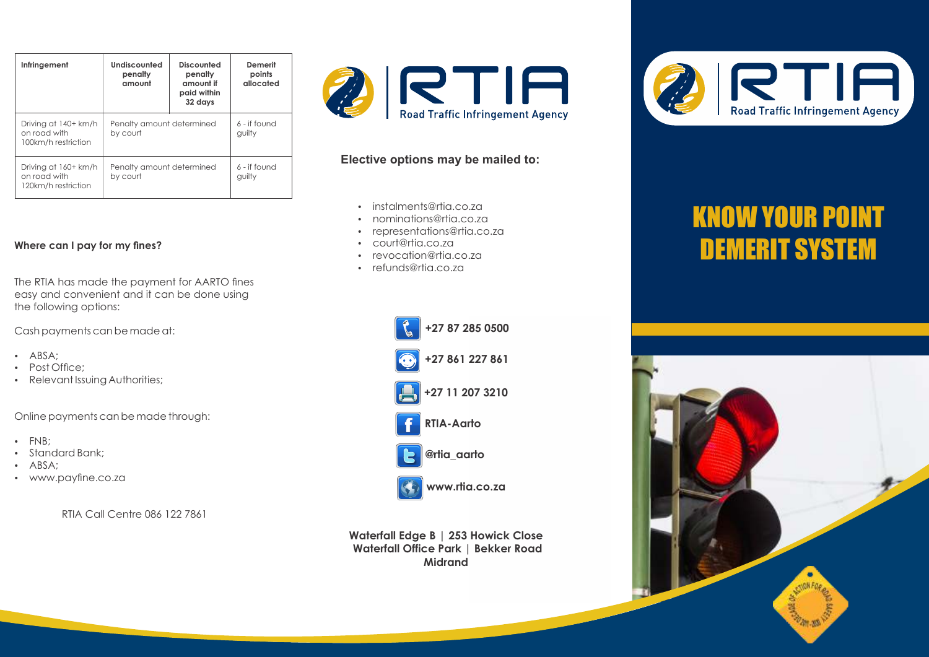| Infringement                                                | Undiscounted<br>penalty<br>amount     | Discounted<br>penalty<br>amount if<br>paid within<br>32 days | Demerit<br>points<br>allocated |
|-------------------------------------------------------------|---------------------------------------|--------------------------------------------------------------|--------------------------------|
| Driving at 140+ km/h<br>on road with<br>100km/h restriction | Penalty amount determined<br>by court |                                                              | $6 - if found$<br>quilty       |
| Driving at 160+ km/h<br>on road with<br>120km/h restriction | Penalty amount determined<br>by court |                                                              | 6 - if found<br>quilty         |

## **Where can I pay for my fines?**

The RTIA has made the payment for AARTO fines easy and convenient and it can be done using the following options:

Cash payments can be made at:

- · ABSA:
- Post Office:
- Relevant Issuing Authorities;

Online payments can be made through:

- $\cdot$  FNB;
- Standard Bank<sup>+</sup>
- · ABSA:
- www.payfine.co.za

RTIA Call Centre 086 122 7861



## **Elective options may be mailed to:**

- instalments@rtia.co.za
- nominations@rtia.co.za
- representations@rtia.co.za
- court@rtia.co.za
- revocation@rtia.co.za
- refunds@rtia.co.za





**@rtia\_aarto**



**www.rtia.co.za**

**Waterfall Edge B | 253 Howick Close Waterfall Office Park | Bekker Road Midrand**



## KNOW YOUR POINT DEMERIT SYSTEM